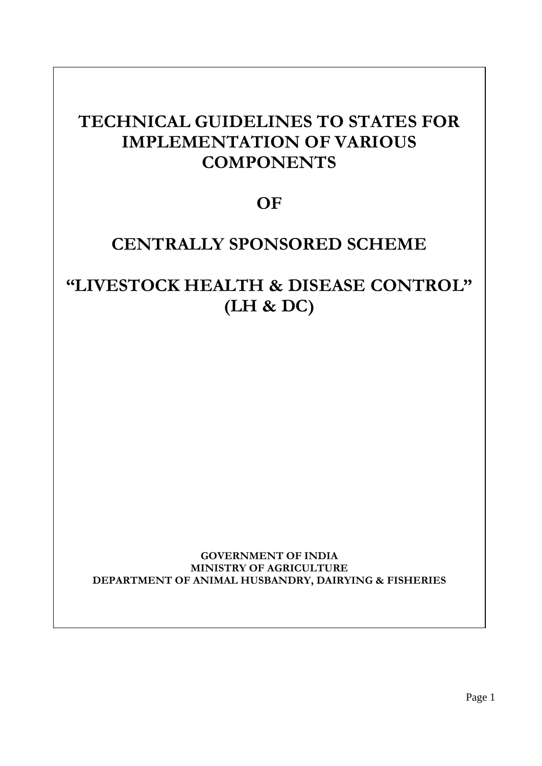#### **TECHNICAL GUIDELINES TO STATES FOR <b>THE IMPLEMENTATION OF VANDOS** witchtimes **TECHNICAL GUIDELINES TO STATES FOR IMPLEMENTATION OF VARIOUS COMPONENTS**

# **OF**

# **CENTRALLY SPONSORED SCHEME CENTRALLY SPONSORED SCHEME**

### **EXAMPLE AND SOLUTION CONTINUES CONTROL" (LH & DC) "LIVESTOCK HEALTH & DISEASE CONTROL" (LH & DC)**

**GOVERNMENT OF INDIA MINISTRY OF AGRICULTURE DEPARTMENT OF ANIMAL HUSBANDRY, DAIRYING & FISHERIES** 

Page 1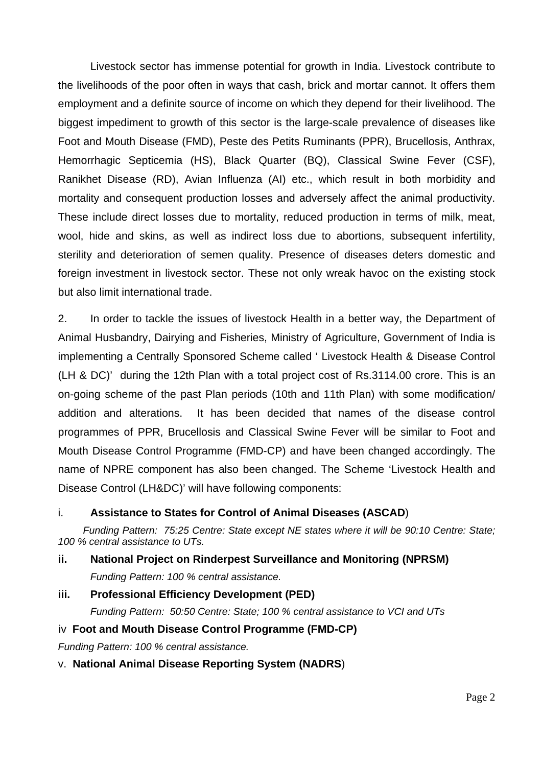Livestock sector has immense potential for growth in India. Livestock contribute to the livelihoods of the poor often in ways that cash, brick and mortar cannot. It offers them employment and a definite source of income on which they depend for their livelihood. The biggest impediment to growth of this sector is the large-scale prevalence of diseases like Foot and Mouth Disease (FMD), Peste des Petits Ruminants (PPR), Brucellosis, Anthrax, Hemorrhagic Septicemia (HS), Black Quarter (BQ), Classical Swine Fever (CSF), Ranikhet Disease (RD), Avian Influenza (AI) etc., which result in both morbidity and mortality and consequent production losses and adversely affect the animal productivity. These include direct losses due to mortality, reduced production in terms of milk, meat, wool, hide and skins, as well as indirect loss due to abortions, subsequent infertility, sterility and deterioration of semen quality. Presence of diseases deters domestic and foreign investment in livestock sector. These not only wreak havoc on the existing stock but also limit international trade.

2. In order to tackle the issues of livestock Health in a better way, the Department of Animal Husbandry, Dairying and Fisheries, Ministry of Agriculture, Government of India is implementing a Centrally Sponsored Scheme called ' Livestock Health & Disease Control (LH & DC)' during the 12th Plan with a total project cost of Rs.3114.00 crore. This is an on-going scheme of the past Plan periods (10th and 11th Plan) with some modification/ addition and alterations. It has been decided that names of the disease control programmes of PPR, Brucellosis and Classical Swine Fever will be similar to Foot and Mouth Disease Control Programme (FMD-CP) and have been changed accordingly. The name of NPRE component has also been changed. The Scheme 'Livestock Health and Disease Control (LH&DC)' will have following components:

### i. **Assistance to States for Control of Animal Diseases (ASCAD**)

 *Funding Pattern: 75:25 Centre: State except NE states where it will be 90:10 Centre: State; 100 % central assistance to UTs.* 

# **ii. National Project on Rinderpest Surveillance and Monitoring (NPRSM)**  *Funding Pattern: 100 % central assistance.*

# **iii. Professional Efficiency Development (PED)**

*Funding Pattern: 50:50 Centre: State; 100 % central assistance to VCI and UTs* 

# iv **Foot and Mouth Disease Control Programme (FMD-CP)**

*Funding Pattern: 100 % central assistance.* 

### v. **National Animal Disease Reporting System (NADRS**)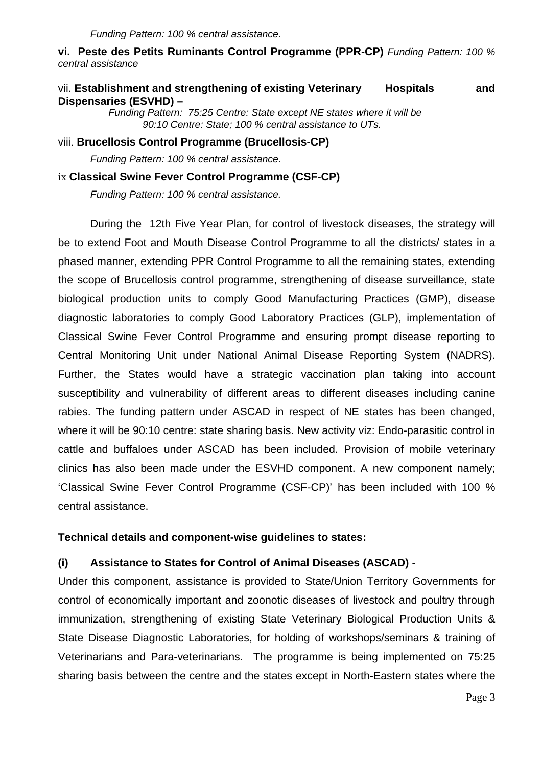**vi. Peste des Petits Ruminants Control Programme (PPR-CP)** *Funding Pattern: 100 % central assistance* 

# vii. **Establishment and strengthening of existing Veterinary Hospitals and Dispensaries (ESVHD) –**

 *Funding Pattern: 75:25 Centre: State except NE states where it will be 90:10 Centre: State; 100 % central assistance to UTs.* 

viii. **Brucellosis Control Programme (Brucellosis-CP)**

*Funding Pattern: 100 % central assistance.* 

#### ix **Classical Swine Fever Control Programme (CSF-CP)**

*Funding Pattern: 100 % central assistance.* 

 During the 12th Five Year Plan, for control of livestock diseases, the strategy will be to extend Foot and Mouth Disease Control Programme to all the districts/ states in a phased manner, extending PPR Control Programme to all the remaining states, extending the scope of Brucellosis control programme, strengthening of disease surveillance, state biological production units to comply Good Manufacturing Practices (GMP), disease diagnostic laboratories to comply Good Laboratory Practices (GLP), implementation of Classical Swine Fever Control Programme and ensuring prompt disease reporting to Central Monitoring Unit under National Animal Disease Reporting System (NADRS). Further, the States would have a strategic vaccination plan taking into account susceptibility and vulnerability of different areas to different diseases including canine rabies. The funding pattern under ASCAD in respect of NE states has been changed, where it will be 90:10 centre: state sharing basis. New activity viz: Endo-parasitic control in cattle and buffaloes under ASCAD has been included. Provision of mobile veterinary clinics has also been made under the ESVHD component. A new component namely; 'Classical Swine Fever Control Programme (CSF-CP)' has been included with 100 % central assistance.

#### **Technical details and component-wise guidelines to states:**

### **(i) Assistance to States for Control of Animal Diseases (ASCAD) -**

Under this component, assistance is provided to State/Union Territory Governments for control of economically important and zoonotic diseases of livestock and poultry through immunization, strengthening of existing State Veterinary Biological Production Units & State Disease Diagnostic Laboratories, for holding of workshops/seminars & training of Veterinarians and Para-veterinarians. The programme is being implemented on 75:25 sharing basis between the centre and the states except in North-Eastern states where the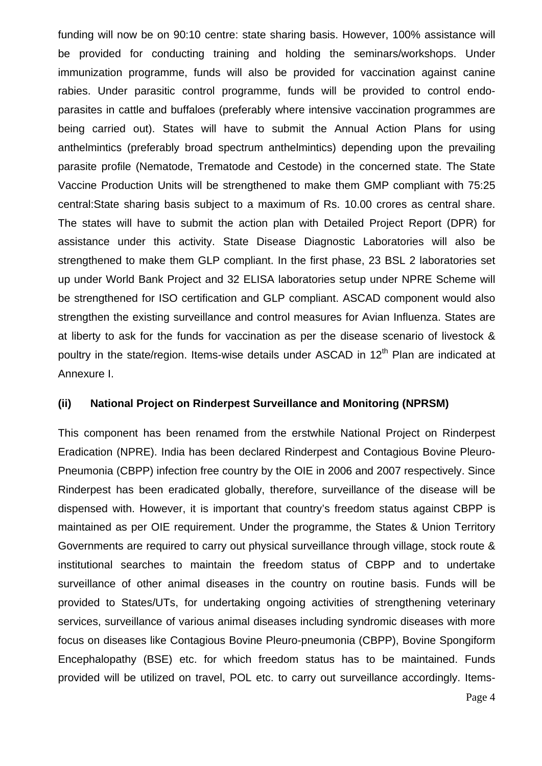funding will now be on 90:10 centre: state sharing basis. However, 100% assistance will be provided for conducting training and holding the seminars/workshops. Under immunization programme, funds will also be provided for vaccination against canine rabies. Under parasitic control programme, funds will be provided to control endoparasites in cattle and buffaloes (preferably where intensive vaccination programmes are being carried out). States will have to submit the Annual Action Plans for using anthelmintics (preferably broad spectrum anthelmintics) depending upon the prevailing parasite profile (Nematode, Trematode and Cestode) in the concerned state. The State Vaccine Production Units will be strengthened to make them GMP compliant with 75:25 central:State sharing basis subject to a maximum of Rs. 10.00 crores as central share. The states will have to submit the action plan with Detailed Project Report (DPR) for assistance under this activity. State Disease Diagnostic Laboratories will also be strengthened to make them GLP compliant. In the first phase, 23 BSL 2 laboratories set up under World Bank Project and 32 ELISA laboratories setup under NPRE Scheme will be strengthened for ISO certification and GLP compliant. ASCAD component would also strengthen the existing surveillance and control measures for Avian Influenza. States are at liberty to ask for the funds for vaccination as per the disease scenario of livestock & poultry in the state/region. Items-wise details under ASCAD in 12<sup>th</sup> Plan are indicated at Annexure I.

### **(ii) National Project on Rinderpest Surveillance and Monitoring (NPRSM)**

This component has been renamed from the erstwhile National Project on Rinderpest Eradication (NPRE). India has been declared Rinderpest and Contagious Bovine Pleuro-Pneumonia (CBPP) infection free country by the OIE in 2006 and 2007 respectively. Since Rinderpest has been eradicated globally, therefore, surveillance of the disease will be dispensed with. However, it is important that country's freedom status against CBPP is maintained as per OIE requirement. Under the programme, the States & Union Territory Governments are required to carry out physical surveillance through village, stock route & institutional searches to maintain the freedom status of CBPP and to undertake surveillance of other animal diseases in the country on routine basis. Funds will be provided to States/UTs, for undertaking ongoing activities of strengthening veterinary services, surveillance of various animal diseases including syndromic diseases with more focus on diseases like Contagious Bovine Pleuro-pneumonia (CBPP), Bovine Spongiform Encephalopathy (BSE) etc. for which freedom status has to be maintained. Funds provided will be utilized on travel, POL etc. to carry out surveillance accordingly. Items-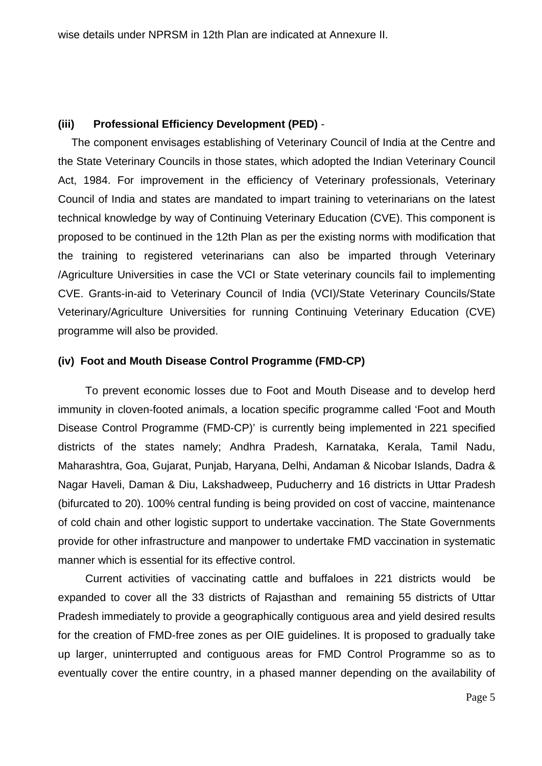### **(iii) Professional Efficiency Development (PED)** -

The component envisages establishing of Veterinary Council of India at the Centre and the State Veterinary Councils in those states, which adopted the Indian Veterinary Council Act, 1984. For improvement in the efficiency of Veterinary professionals, Veterinary Council of India and states are mandated to impart training to veterinarians on the latest technical knowledge by way of Continuing Veterinary Education (CVE). This component is proposed to be continued in the 12th Plan as per the existing norms with modification that the training to registered veterinarians can also be imparted through Veterinary /Agriculture Universities in case the VCI or State veterinary councils fail to implementing CVE. Grants-in-aid to Veterinary Council of India (VCI)/State Veterinary Councils/State Veterinary/Agriculture Universities for running Continuing Veterinary Education (CVE) programme will also be provided.

### **(iv) Foot and Mouth Disease Control Programme (FMD-CP)**

 To prevent economic losses due to Foot and Mouth Disease and to develop herd immunity in cloven-footed animals, a location specific programme called 'Foot and Mouth Disease Control Programme (FMD-CP)' is currently being implemented in 221 specified districts of the states namely; Andhra Pradesh, Karnataka, Kerala, Tamil Nadu, Maharashtra, Goa, Gujarat, Punjab, Haryana, Delhi, Andaman & Nicobar Islands, Dadra & Nagar Haveli, Daman & Diu, Lakshadweep, Puducherry and 16 districts in Uttar Pradesh (bifurcated to 20). 100% central funding is being provided on cost of vaccine, maintenance of cold chain and other logistic support to undertake vaccination. The State Governments provide for other infrastructure and manpower to undertake FMD vaccination in systematic manner which is essential for its effective control.

 Current activities of vaccinating cattle and buffaloes in 221 districts would be expanded to cover all the 33 districts of Rajasthan and remaining 55 districts of Uttar Pradesh immediately to provide a geographically contiguous area and yield desired results for the creation of FMD-free zones as per OIE guidelines. It is proposed to gradually take up larger, uninterrupted and contiguous areas for FMD Control Programme so as to eventually cover the entire country, in a phased manner depending on the availability of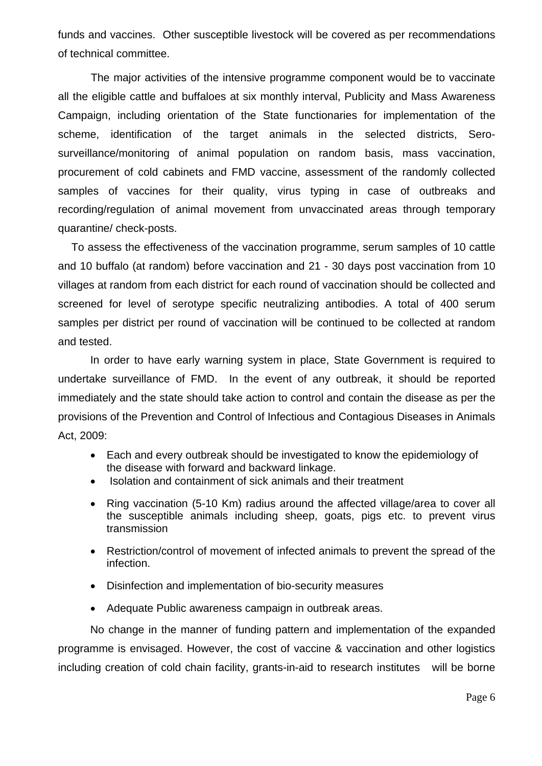funds and vaccines. Other susceptible livestock will be covered as per recommendations of technical committee.

The major activities of the intensive programme component would be to vaccinate all the eligible cattle and buffaloes at six monthly interval, Publicity and Mass Awareness Campaign, including orientation of the State functionaries for implementation of the scheme, identification of the target animals in the selected districts, Serosurveillance/monitoring of animal population on random basis, mass vaccination, procurement of cold cabinets and FMD vaccine, assessment of the randomly collected samples of vaccines for their quality, virus typing in case of outbreaks and recording/regulation of animal movement from unvaccinated areas through temporary quarantine/ check-posts.

To assess the effectiveness of the vaccination programme, serum samples of 10 cattle and 10 buffalo (at random) before vaccination and 21 - 30 days post vaccination from 10 villages at random from each district for each round of vaccination should be collected and screened for level of serotype specific neutralizing antibodies. A total of 400 serum samples per district per round of vaccination will be continued to be collected at random and tested.

 In order to have early warning system in place, State Government is required to undertake surveillance of FMD. In the event of any outbreak, it should be reported immediately and the state should take action to control and contain the disease as per the provisions of the Prevention and Control of Infectious and Contagious Diseases in Animals Act, 2009:

- Each and every outbreak should be investigated to know the epidemiology of the disease with forward and backward linkage.
- Isolation and containment of sick animals and their treatment
- Ring vaccination (5-10 Km) radius around the affected village/area to cover all the susceptible animals including sheep, goats, pigs etc. to prevent virus transmission
- Restriction/control of movement of infected animals to prevent the spread of the infection.
- Disinfection and implementation of bio-security measures
- Adequate Public awareness campaign in outbreak areas.

 No change in the manner of funding pattern and implementation of the expanded programme is envisaged. However, the cost of vaccine & vaccination and other logistics including creation of cold chain facility, grants-in-aid to research institutes will be borne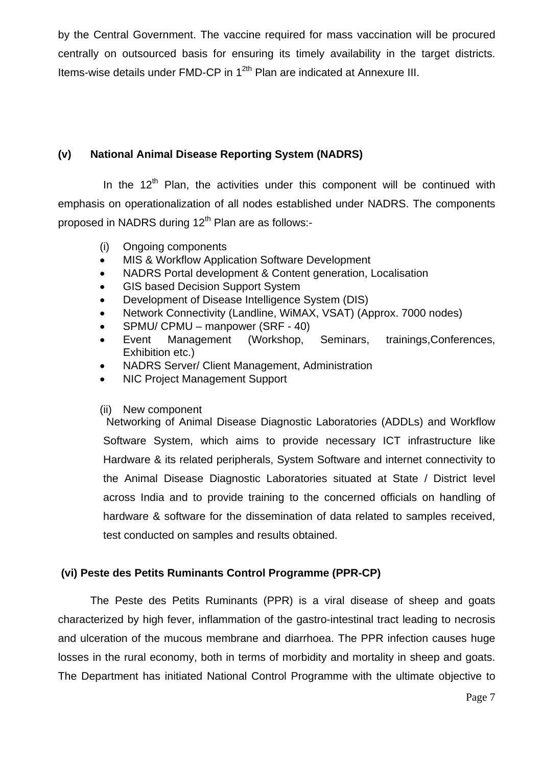by the Central Government. The vaccine required for mass vaccination will be procured centrally on outsourced basis for ensuring its timely availability in the target districts. Items-wise details under FMD-CP in 1<sup>2th</sup> Plan are indicated at Annexure III.

# **(v) National Animal Disease Reporting System (NADRS)**

In the  $12<sup>th</sup>$  Plan, the activities under this component will be continued with emphasis on operationalization of all nodes established under NADRS. The components proposed in NADRS during  $12<sup>th</sup>$  Plan are as follows:-

- (i) Ongoing components
- MIS & Workflow Application Software Development
- NADRS Portal development & Content generation, Localisation
- GIS based Decision Support System
- Development of Disease Intelligence System (DIS)
- Network Connectivity (Landline, WiMAX, VSAT) (Approx. 7000 nodes)
- SPMU/ CPMU manpower (SRF 40)
- Event Management (Workshop, Seminars, trainings,Conferences, Exhibition etc.)
- NADRS Server/ Client Management, Administration
- NIC Project Management Support

### (ii) New component

 Networking of Animal Disease Diagnostic Laboratories (ADDLs) and Workflow Software System, which aims to provide necessary ICT infrastructure like Hardware & its related peripherals, System Software and internet connectivity to the Animal Disease Diagnostic Laboratories situated at State / District level across India and to provide training to the concerned officials on handling of hardware & software for the dissemination of data related to samples received, test conducted on samples and results obtained.

# **(vi) Peste des Petits Ruminants Control Programme (PPR-CP)**

 The Peste des Petits Ruminants (PPR) is a viral disease of sheep and goats characterized by high fever, inflammation of the gastro-intestinal tract leading to necrosis and ulceration of the mucous membrane and diarrhoea. The PPR infection causes huge losses in the rural economy, both in terms of morbidity and mortality in sheep and goats. The Department has initiated National Control Programme with the ultimate objective to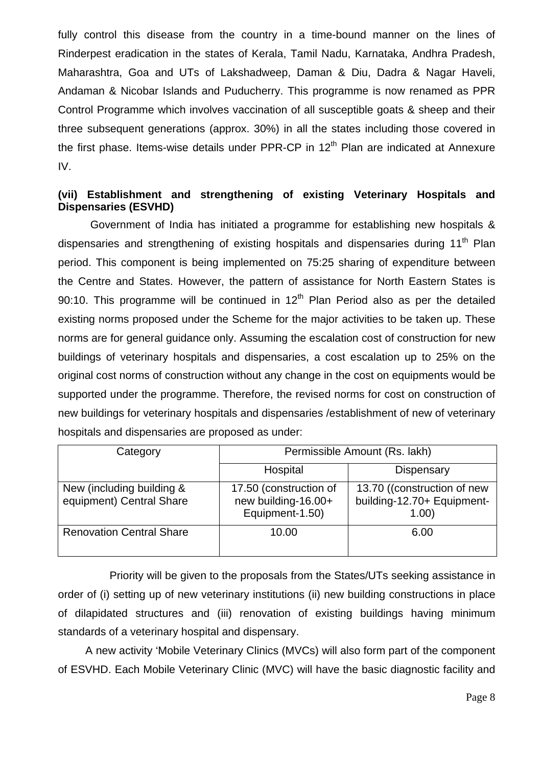fully control this disease from the country in a time-bound manner on the lines of Rinderpest eradication in the states of Kerala, Tamil Nadu, Karnataka, Andhra Pradesh, Maharashtra, Goa and UTs of Lakshadweep, Daman & Diu, Dadra & Nagar Haveli, Andaman & Nicobar Islands and Puducherry. This programme is now renamed as PPR Control Programme which involves vaccination of all susceptible goats & sheep and their three subsequent generations (approx. 30%) in all the states including those covered in the first phase. Items-wise details under PPR-CP in  $12<sup>th</sup>$  Plan are indicated at Annexure IV.

### **(vii) Establishment and strengthening of existing Veterinary Hospitals and Dispensaries (ESVHD)**

 Government of India has initiated a programme for establishing new hospitals & dispensaries and strengthening of existing hospitals and dispensaries during 11<sup>th</sup> Plan period. This component is being implemented on 75:25 sharing of expenditure between the Centre and States. However, the pattern of assistance for North Eastern States is 90:10. This programme will be continued in  $12<sup>th</sup>$  Plan Period also as per the detailed existing norms proposed under the Scheme for the major activities to be taken up. These norms are for general guidance only. Assuming the escalation cost of construction for new buildings of veterinary hospitals and dispensaries, a cost escalation up to 25% on the original cost norms of construction without any change in the cost on equipments would be supported under the programme. Therefore, the revised norms for cost on construction of new buildings for veterinary hospitals and dispensaries /establishment of new of veterinary hospitals and dispensaries are proposed as under:

| Category                                              | Permissible Amount (Rs. lakh)                                    |                                                                    |
|-------------------------------------------------------|------------------------------------------------------------------|--------------------------------------------------------------------|
|                                                       | Hospital                                                         | Dispensary                                                         |
| New (including building &<br>equipment) Central Share | 17.50 (construction of<br>new building-16.00+<br>Equipment-1.50) | 13.70 ((construction of new<br>building-12.70+ Equipment-<br>1.00) |
| <b>Renovation Central Share</b>                       | 10.00                                                            | 6.00                                                               |

Priority will be given to the proposals from the States/UTs seeking assistance in order of (i) setting up of new veterinary institutions (ii) new building constructions in place of dilapidated structures and (iii) renovation of existing buildings having minimum standards of a veterinary hospital and dispensary.

 A new activity 'Mobile Veterinary Clinics (MVCs) will also form part of the component of ESVHD. Each Mobile Veterinary Clinic (MVC) will have the basic diagnostic facility and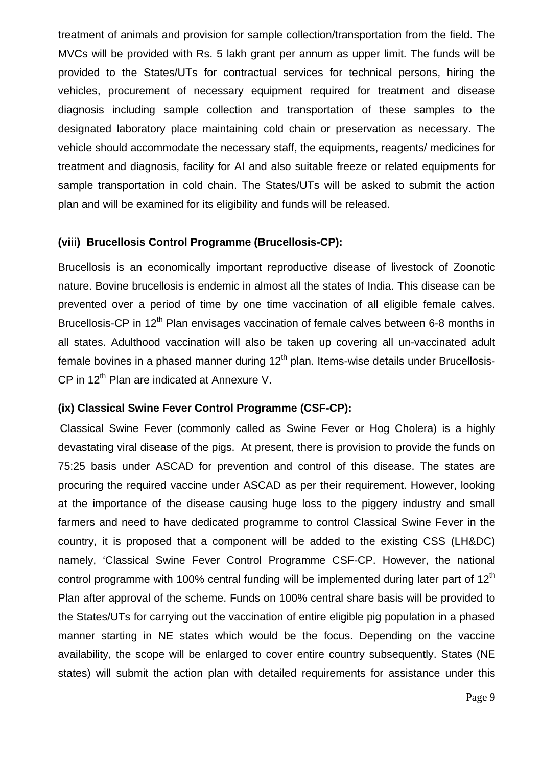treatment of animals and provision for sample collection/transportation from the field. The MVCs will be provided with Rs. 5 lakh grant per annum as upper limit. The funds will be provided to the States/UTs for contractual services for technical persons, hiring the vehicles, procurement of necessary equipment required for treatment and disease diagnosis including sample collection and transportation of these samples to the designated laboratory place maintaining cold chain or preservation as necessary. The vehicle should accommodate the necessary staff, the equipments, reagents/ medicines for treatment and diagnosis, facility for AI and also suitable freeze or related equipments for sample transportation in cold chain. The States/UTs will be asked to submit the action plan and will be examined for its eligibility and funds will be released.

### **(viii) Brucellosis Control Programme (Brucellosis-CP):**

Brucellosis is an economically important reproductive disease of livestock of Zoonotic nature. Bovine brucellosis is endemic in almost all the states of India. This disease can be prevented over a period of time by one time vaccination of all eligible female calves. Brucellosis-CP in 12<sup>th</sup> Plan envisages vaccination of female calves between 6-8 months in all states. Adulthood vaccination will also be taken up covering all un-vaccinated adult female bovines in a phased manner during  $12<sup>th</sup>$  plan. Items-wise details under Brucellosis-CP in 12<sup>th</sup> Plan are indicated at Annexure V.

### **(ix) Classical Swine Fever Control Programme (CSF-CP):**

 Classical Swine Fever (commonly called as Swine Fever or Hog Cholera) is a highly devastating viral disease of the pigs. At present, there is provision to provide the funds on 75:25 basis under ASCAD for prevention and control of this disease. The states are procuring the required vaccine under ASCAD as per their requirement. However, looking at the importance of the disease causing huge loss to the piggery industry and small farmers and need to have dedicated programme to control Classical Swine Fever in the country, it is proposed that a component will be added to the existing CSS (LH&DC) namely, 'Classical Swine Fever Control Programme CSF-CP. However, the national control programme with 100% central funding will be implemented during later part of  $12<sup>th</sup>$ Plan after approval of the scheme. Funds on 100% central share basis will be provided to the States/UTs for carrying out the vaccination of entire eligible pig population in a phased manner starting in NE states which would be the focus. Depending on the vaccine availability, the scope will be enlarged to cover entire country subsequently. States (NE states) will submit the action plan with detailed requirements for assistance under this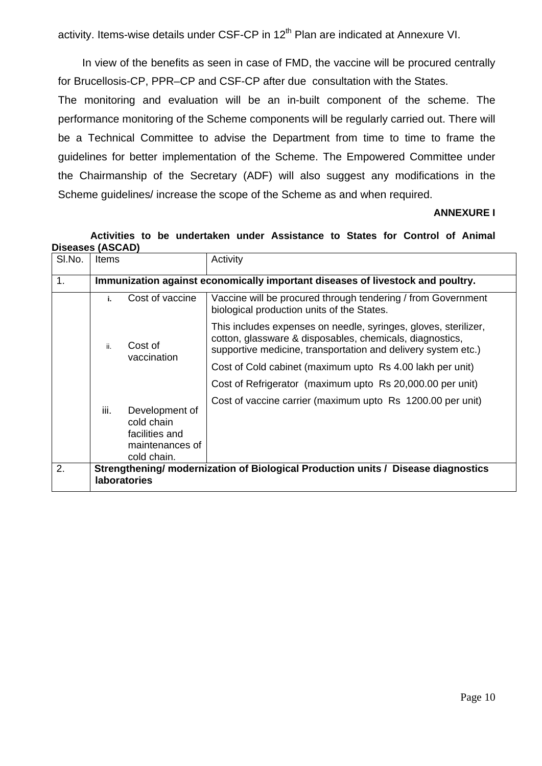activity. Items-wise details under CSF-CP in 12<sup>th</sup> Plan are indicated at Annexure VI.

 In view of the benefits as seen in case of FMD, the vaccine will be procured centrally for Brucellosis-CP, PPR–CP and CSF-CP after due consultation with the States.

The monitoring and evaluation will be an in-built component of the scheme. The performance monitoring of the Scheme components will be regularly carried out. There will be a Technical Committee to advise the Department from time to time to frame the guidelines for better implementation of the Scheme. The Empowered Committee under the Chairmanship of the Secretary (ADF) will also suggest any modifications in the Scheme guidelines/ increase the scope of the Scheme as and when required.

### **ANNEXURE I**

### **Activities to be undertaken under Assistance to States for Control of Animal Diseases (ASCAD)**

| SI.No. | <b>Items</b>                                                                                             |                                                                                  | Activity                                                                                                                                                                                     |  |
|--------|----------------------------------------------------------------------------------------------------------|----------------------------------------------------------------------------------|----------------------------------------------------------------------------------------------------------------------------------------------------------------------------------------------|--|
| 1.     |                                                                                                          | Immunization against economically important diseases of livestock and poultry.   |                                                                                                                                                                                              |  |
|        | i.                                                                                                       | Cost of vaccine                                                                  | Vaccine will be procured through tendering / from Government<br>biological production units of the States.                                                                                   |  |
|        | ii.                                                                                                      | Cost of                                                                          | This includes expenses on needle, syringes, gloves, sterilizer,<br>cotton, glassware & disposables, chemicals, diagnostics,<br>supportive medicine, transportation and delivery system etc.) |  |
|        | vaccination                                                                                              | Cost of Cold cabinet (maximum upto Rs 4.00 lakh per unit)                        |                                                                                                                                                                                              |  |
|        |                                                                                                          |                                                                                  | Cost of Refrigerator (maximum upto Rs 20,000.00 per unit)                                                                                                                                    |  |
|        | iii.                                                                                                     | Development of<br>cold chain<br>facilities and<br>maintenances of<br>cold chain. | Cost of vaccine carrier (maximum upto Rs 1200.00 per unit)                                                                                                                                   |  |
| 2.     | Strengthening/ modernization of Biological Production units / Disease diagnostics<br><b>laboratories</b> |                                                                                  |                                                                                                                                                                                              |  |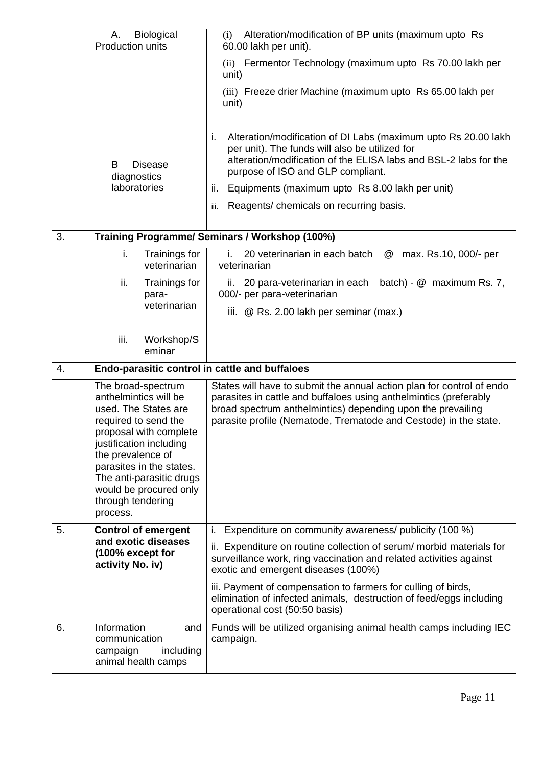|    | Biological<br>Α.<br>Production units                                                                                                                                                                                                                                                     | Alteration/modification of BP units (maximum upto Rs<br>(i)<br>60.00 lakh per unit).                                                                                                                                                                                                                                                                                                                                       |
|----|------------------------------------------------------------------------------------------------------------------------------------------------------------------------------------------------------------------------------------------------------------------------------------------|----------------------------------------------------------------------------------------------------------------------------------------------------------------------------------------------------------------------------------------------------------------------------------------------------------------------------------------------------------------------------------------------------------------------------|
|    |                                                                                                                                                                                                                                                                                          | (ii) Fermentor Technology (maximum upto Rs 70.00 lakh per<br>unit)                                                                                                                                                                                                                                                                                                                                                         |
|    |                                                                                                                                                                                                                                                                                          | (iii) Freeze drier Machine (maximum upto Rs 65.00 lakh per<br>unit)                                                                                                                                                                                                                                                                                                                                                        |
|    | B<br><b>Disease</b><br>diagnostics<br>laboratories                                                                                                                                                                                                                                       | Alteration/modification of DI Labs (maximum upto Rs 20.00 lakh)<br>j.<br>per unit). The funds will also be utilized for<br>alteration/modification of the ELISA labs and BSL-2 labs for the<br>purpose of ISO and GLP compliant.<br>Equipments (maximum upto Rs 8.00 lakh per unit)<br>ii.<br>Reagents/ chemicals on recurring basis.<br>iii.                                                                              |
| 3. |                                                                                                                                                                                                                                                                                          | Training Programme/ Seminars / Workshop (100%)                                                                                                                                                                                                                                                                                                                                                                             |
|    | i.<br>Trainings for<br>veterinarian                                                                                                                                                                                                                                                      | i.<br>20 veterinarian in each batch<br>max. Rs.10, 000/- per<br>@<br>veterinarian                                                                                                                                                                                                                                                                                                                                          |
|    | ii.<br>Trainings for<br>para-                                                                                                                                                                                                                                                            | batch) - @ maximum Rs. 7,<br>20 para-veterinarian in each<br>II.<br>000/- per para-veterinarian                                                                                                                                                                                                                                                                                                                            |
|    | veterinarian                                                                                                                                                                                                                                                                             | iii. $\oslash$ Rs. 2.00 lakh per seminar (max.)                                                                                                                                                                                                                                                                                                                                                                            |
|    | iii.<br>Workshop/S<br>eminar                                                                                                                                                                                                                                                             |                                                                                                                                                                                                                                                                                                                                                                                                                            |
| 4. | Endo-parasitic control in cattle and buffaloes                                                                                                                                                                                                                                           |                                                                                                                                                                                                                                                                                                                                                                                                                            |
|    | The broad-spectrum<br>anthelmintics will be<br>used. The States are<br>required to send the<br>proposal with complete<br>justification including<br>the prevalence of<br>parasites in the states.<br>The anti-parasitic drugs<br>would be procured only<br>through tendering<br>process. | States will have to submit the annual action plan for control of endo<br>parasites in cattle and buffaloes using anthelmintics (preferably<br>broad spectrum anthelmintics) depending upon the prevailing<br>parasite profile (Nematode, Trematode and Cestode) in the state.                                                                                                                                              |
| 5. | <b>Control of emergent</b><br>and exotic diseases<br>(100% except for<br>activity No. iv)                                                                                                                                                                                                | Expenditure on community awareness/ publicity (100 %)<br>i.<br>ii. Expenditure on routine collection of serum/ morbid materials for<br>surveillance work, ring vaccination and related activities against<br>exotic and emergent diseases (100%)<br>iii. Payment of compensation to farmers for culling of birds,<br>elimination of infected animals, destruction of feed/eggs including<br>operational cost (50:50 basis) |
| 6. | Information<br>and<br>communication<br>campaign<br>including<br>animal health camps                                                                                                                                                                                                      | Funds will be utilized organising animal health camps including IEC<br>campaign.                                                                                                                                                                                                                                                                                                                                           |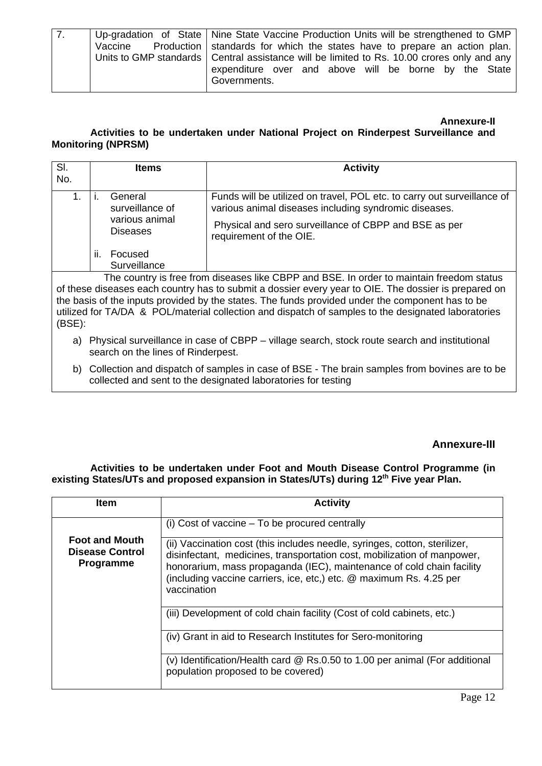| $\overline{7}$ | Up-gradation of State   Nine State Vaccine Production Units will be strengthened to GMP      |
|----------------|----------------------------------------------------------------------------------------------|
|                | Vaccine Production   standards for which the states have to prepare an action plan.          |
|                | Units to GMP standards   Central assistance will be limited to Rs. 10.00 crores only and any |
|                | expenditure over and above will be borne by the State                                        |
|                | Governments.                                                                                 |

#### **Annexure-II Activities to be undertaken under National Project on Rinderpest Surveillance and Monitoring (NPRSM)**

| SI.<br>No. |         | Items                                                           | <b>Activity</b>                                                                                                                                                                                                      |
|------------|---------|-----------------------------------------------------------------|----------------------------------------------------------------------------------------------------------------------------------------------------------------------------------------------------------------------|
|            |         | General<br>surveillance of<br>various animal<br><b>Diseases</b> | Funds will be utilized on travel, POL etc. to carry out surveillance of<br>various animal diseases including syndromic diseases.<br>Physical and sero surveillance of CBPP and BSE as per<br>requirement of the OIE. |
|            | $\Pi$ . | Focused<br>Surveillance                                         |                                                                                                                                                                                                                      |

 The country is free from diseases like CBPP and BSE. In order to maintain freedom status of these diseases each country has to submit a dossier every year to OIE. The dossier is prepared on the basis of the inputs provided by the states. The funds provided under the component has to be utilized for TA/DA & POL/material collection and dispatch of samples to the designated laboratories (BSE):

- a) Physical surveillance in case of CBPP village search, stock route search and institutional search on the lines of Rinderpest.
- b) Collection and dispatch of samples in case of BSE The brain samples from bovines are to be collected and sent to the designated laboratories for testing

# **Annexure-III**

**Activities to be undertaken under Foot and Mouth Disease Control Programme (in**  existing States/UTs and proposed expansion in States/UTs) during 12<sup>th</sup> Five year Plan.

| ltem                                                                | <b>Activity</b>                                                                                                                                                                                                                                                                                                      |
|---------------------------------------------------------------------|----------------------------------------------------------------------------------------------------------------------------------------------------------------------------------------------------------------------------------------------------------------------------------------------------------------------|
|                                                                     | (i) Cost of vaccine – To be procured centrally                                                                                                                                                                                                                                                                       |
| <b>Foot and Mouth</b><br><b>Disease Control</b><br><b>Programme</b> | (ii) Vaccination cost (this includes needle, syringes, cotton, sterilizer,<br>disinfectant, medicines, transportation cost, mobilization of manpower,<br>honorarium, mass propaganda (IEC), maintenance of cold chain facility<br>(including vaccine carriers, ice, etc,) etc. @ maximum Rs. 4.25 per<br>vaccination |
|                                                                     | (iii) Development of cold chain facility (Cost of cold cabinets, etc.)                                                                                                                                                                                                                                               |
|                                                                     | (iv) Grant in aid to Research Institutes for Sero-monitoring                                                                                                                                                                                                                                                         |
|                                                                     | (v) Identification/Health card @ Rs.0.50 to 1.00 per animal (For additional<br>population proposed to be covered)                                                                                                                                                                                                    |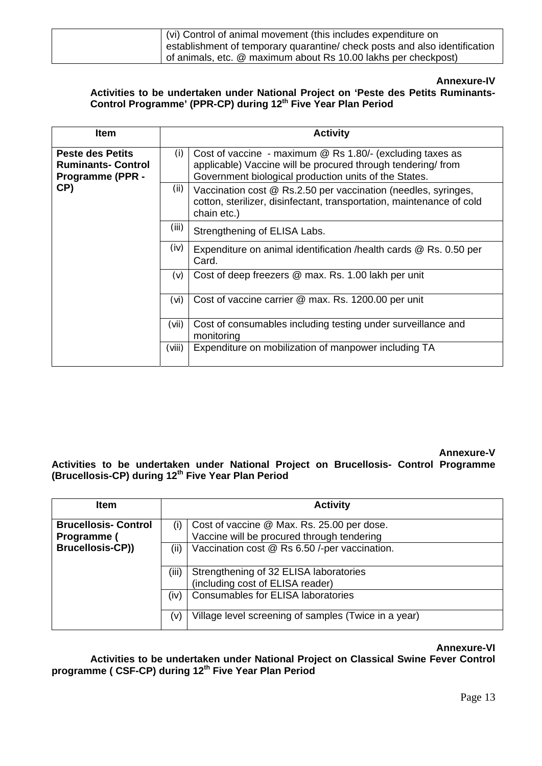| (vi) Control of animal movement (this includes expenditure on              |
|----------------------------------------------------------------------------|
| establishment of temporary quarantine/ check posts and also identification |
| of animals, etc. @ maximum about Rs 10.00 lakhs per checkpost)             |

### **Annexure-IV**

#### **Activities to be undertaken under National Project on 'Peste des Petits Ruminants-**Control Programme' (PPR-CP) during 12<sup>th</sup> Five Year Plan Period

| <b>Item</b>                                                                     |        | <b>Activity</b>                                                                                                                                                                          |
|---------------------------------------------------------------------------------|--------|------------------------------------------------------------------------------------------------------------------------------------------------------------------------------------------|
| <b>Peste des Petits</b><br><b>Ruminants- Control</b><br><b>Programme (PPR -</b> | (i)    | Cost of vaccine - maximum $\omega$ Rs 1.80/- (excluding taxes as<br>applicable) Vaccine will be procured through tendering/from<br>Government biological production units of the States. |
| CP)                                                                             | (ii)   | Vaccination cost @ Rs.2.50 per vaccination (needles, syringes,<br>cotton, sterilizer, disinfectant, transportation, maintenance of cold<br>chain etc.)                                   |
|                                                                                 | (iii)  | Strengthening of ELISA Labs.                                                                                                                                                             |
|                                                                                 | (iv)   | Expenditure on animal identification / health cards @ Rs. 0.50 per<br>Card.                                                                                                              |
|                                                                                 | (v)    | Cost of deep freezers @ max. Rs. 1.00 lakh per unit                                                                                                                                      |
|                                                                                 | (vi)   | Cost of vaccine carrier @ max. Rs. 1200.00 per unit                                                                                                                                      |
|                                                                                 | (vii)  | Cost of consumables including testing under surveillance and<br>monitoring                                                                                                               |
|                                                                                 | (viii) | Expenditure on mobilization of manpower including TA                                                                                                                                     |

#### **Annexure-V**

**Activities to be undertaken under National Project on Brucellosis- Control Programme (Brucellosis-CP) during 12th Five Year Plan Period** 

| <b>Item</b>                                | <b>Activity</b>                                                                                 |
|--------------------------------------------|-------------------------------------------------------------------------------------------------|
| <b>Brucellosis- Control</b><br>Programme ( | Cost of vaccine @ Max. Rs. 25.00 per dose.<br>(i)<br>Vaccine will be procured through tendering |
| <b>Brucellosis-CP))</b>                    | Vaccination cost @ Rs 6.50 /-per vaccination.<br>(ii)                                           |
|                                            | (iii)<br>Strengthening of 32 ELISA laboratories<br>(including cost of ELISA reader)             |
|                                            | Consumables for ELISA laboratories<br>(iv)                                                      |
|                                            | Village level screening of samples (Twice in a year)<br>(v)                                     |

#### **Annexure-VI**

**Activities to be undertaken under National Project on Classical Swine Fever Control programme ( CSF-CP) during 12th Five Year Plan Period**